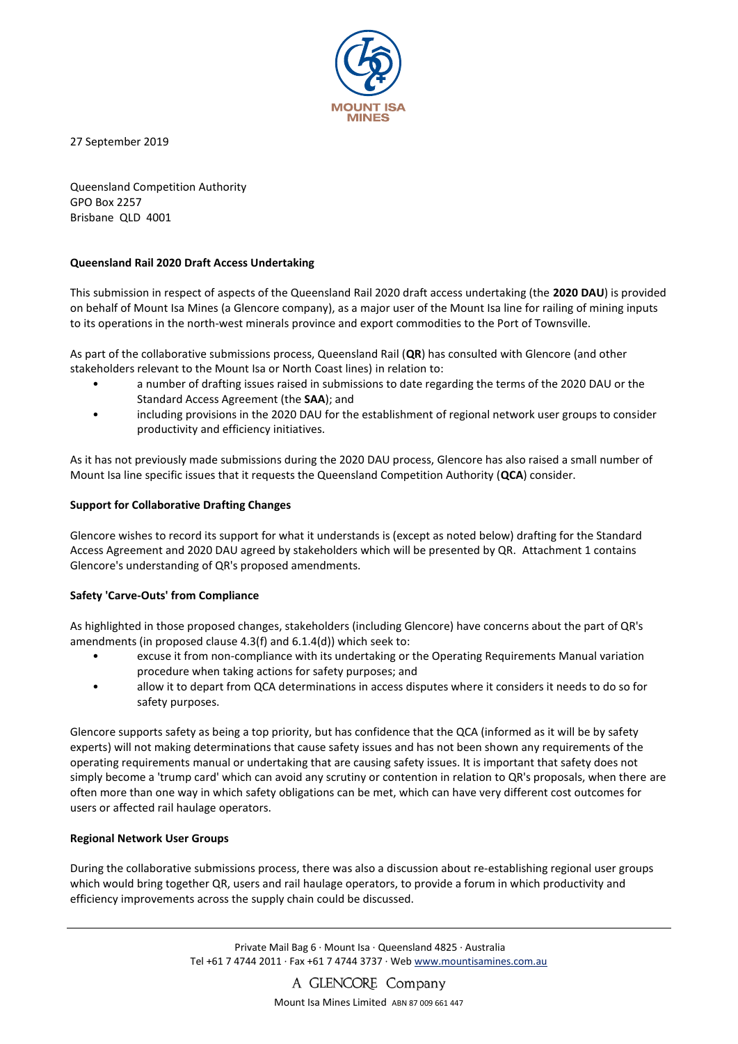

27 September 2019

Queensland Competition Authority GPO Box 2257 Brisbane QLD 4001

#### **Queensland Rail 2020 Draft Access Undertaking**

This submission in respect of aspects of the Queensland Rail 2020 draft access undertaking (the **2020 DAU**) is provided on behalf of Mount Isa Mines (a Glencore company), as a major user of the Mount Isa line for railing of mining inputs to its operations in the north-west minerals province and export commodities to the Port of Townsville.

As part of the collaborative submissions process, Queensland Rail (**QR**) has consulted with Glencore (and other stakeholders relevant to the Mount Isa or North Coast lines) in relation to:

- a number of drafting issues raised in submissions to date regarding the terms of the 2020 DAU or the Standard Access Agreement (the **SAA**); and
- including provisions in the 2020 DAU for the establishment of regional network user groups to consider productivity and efficiency initiatives.

As it has not previously made submissions during the 2020 DAU process, Glencore has also raised a small number of Mount Isa line specific issues that it requests the Queensland Competition Authority (**QCA**) consider.

# **Support for Collaborative Drafting Changes**

Glencore wishes to record its support for what it understands is (except as noted below) drafting for the Standard Access Agreement and 2020 DAU agreed by stakeholders which will be presented by QR. Attachment 1 contains Glencore's understanding of QR's proposed amendments.

#### **Safety 'Carve-Outs' from Compliance**

As highlighted in those proposed changes, stakeholders (including Glencore) have concerns about the part of QR's amendments (in proposed clause 4.3(f) and 6.1.4(d)) which seek to:

- excuse it from non-compliance with its undertaking or the Operating Requirements Manual variation procedure when taking actions for safety purposes; and
- allow it to depart from QCA determinations in access disputes where it considers it needs to do so for safety purposes.

Glencore supports safety as being a top priority, but has confidence that the QCA (informed as it will be by safety experts) will not making determinations that cause safety issues and has not been shown any requirements of the operating requirements manual or undertaking that are causing safety issues. It is important that safety does not simply become a 'trump card' which can avoid any scrutiny or contention in relation to QR's proposals, when there are often more than one way in which safety obligations can be met, which can have very different cost outcomes for users or affected rail haulage operators.

#### **Regional Network User Groups**

During the collaborative submissions process, there was also a discussion about re-establishing regional user groups which would bring together QR, users and rail haulage operators, to provide a forum in which productivity and efficiency improvements across the supply chain could be discussed.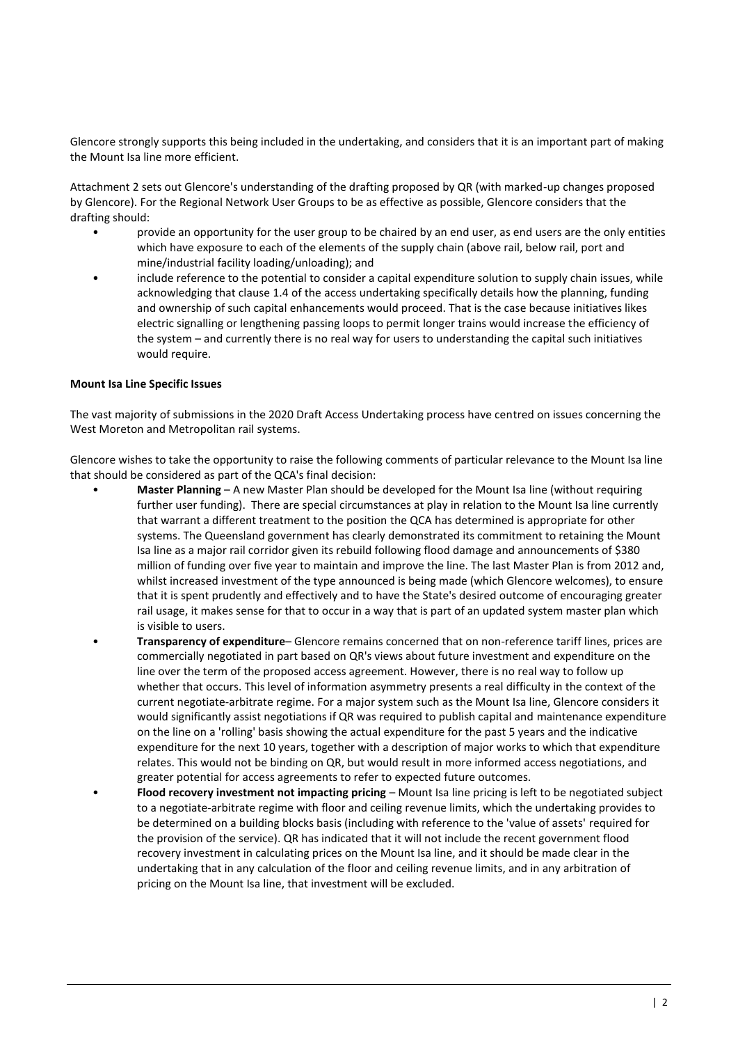Glencore strongly supports this being included in the undertaking, and considers that it is an important part of making the Mount Isa line more efficient.

Attachment 2 sets out Glencore's understanding of the drafting proposed by QR (with marked-up changes proposed by Glencore). For the Regional Network User Groups to be as effective as possible, Glencore considers that the drafting should:

- provide an opportunity for the user group to be chaired by an end user, as end users are the only entities which have exposure to each of the elements of the supply chain (above rail, below rail, port and mine/industrial facility loading/unloading); and
- include reference to the potential to consider a capital expenditure solution to supply chain issues, while acknowledging that clause 1.4 of the access undertaking specifically details how the planning, funding and ownership of such capital enhancements would proceed. That is the case because initiatives likes electric signalling or lengthening passing loops to permit longer trains would increase the efficiency of the system – and currently there is no real way for users to understanding the capital such initiatives would require.

#### **Mount Isa Line Specific Issues**

The vast majority of submissions in the 2020 Draft Access Undertaking process have centred on issues concerning the West Moreton and Metropolitan rail systems.

Glencore wishes to take the opportunity to raise the following comments of particular relevance to the Mount Isa line that should be considered as part of the QCA's final decision:

- **Master Planning** A new Master Plan should be developed for the Mount Isa line (without requiring further user funding). There are special circumstances at play in relation to the Mount Isa line currently that warrant a different treatment to the position the QCA has determined is appropriate for other systems. The Queensland government has clearly demonstrated its commitment to retaining the Mount Isa line as a major rail corridor given its rebuild following flood damage and announcements of \$380 million of funding over five year to maintain and improve the line. The last Master Plan is from 2012 and, whilst increased investment of the type announced is being made (which Glencore welcomes), to ensure that it is spent prudently and effectively and to have the State's desired outcome of encouraging greater rail usage, it makes sense for that to occur in a way that is part of an updated system master plan which is visible to users.
- **Transparency of expenditure** Glencore remains concerned that on non-reference tariff lines, prices are commercially negotiated in part based on QR's views about future investment and expenditure on the line over the term of the proposed access agreement. However, there is no real way to follow up whether that occurs. This level of information asymmetry presents a real difficulty in the context of the current negotiate-arbitrate regime. For a major system such as the Mount Isa line, Glencore considers it would significantly assist negotiations if QR was required to publish capital and maintenance expenditure on the line on a 'rolling' basis showing the actual expenditure for the past 5 years and the indicative expenditure for the next 10 years, together with a description of major works to which that expenditure relates. This would not be binding on QR, but would result in more informed access negotiations, and greater potential for access agreements to refer to expected future outcomes.
- **Flood recovery investment not impacting pricing** Mount Isa line pricing is left to be negotiated subject to a negotiate-arbitrate regime with floor and ceiling revenue limits, which the undertaking provides to be determined on a building blocks basis (including with reference to the 'value of assets' required for the provision of the service). QR has indicated that it will not include the recent government flood recovery investment in calculating prices on the Mount Isa line, and it should be made clear in the undertaking that in any calculation of the floor and ceiling revenue limits, and in any arbitration of pricing on the Mount Isa line, that investment will be excluded.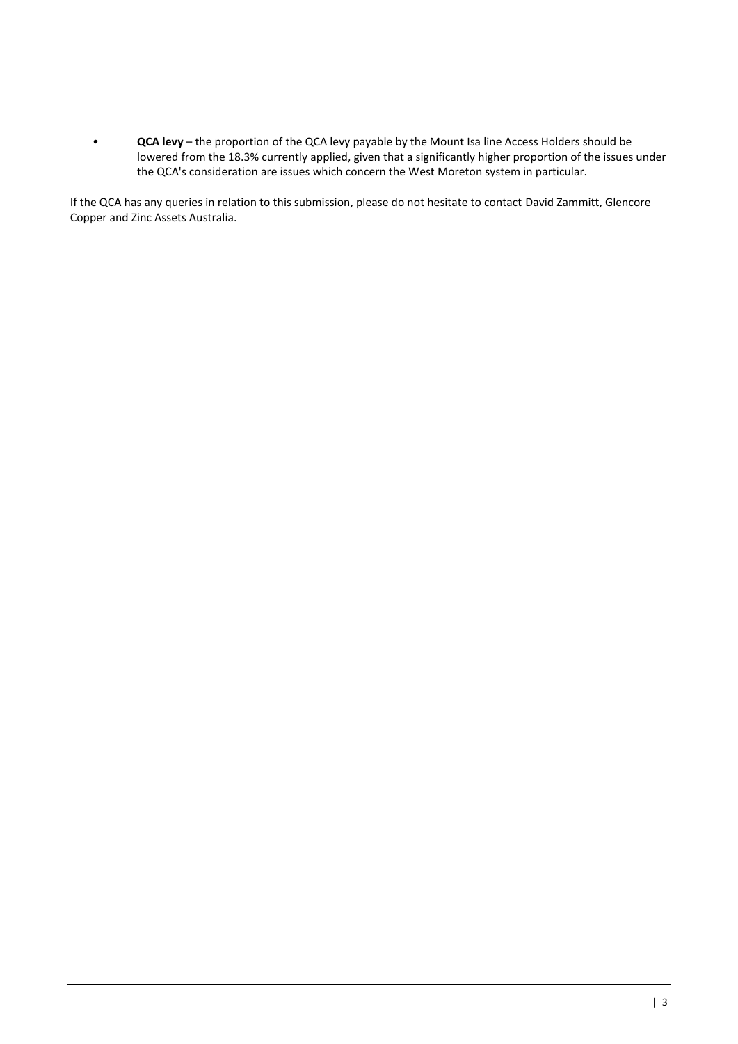• **QCA levy** – the proportion of the QCA levy payable by the Mount Isa line Access Holders should be lowered from the 18.3% currently applied, given that a significantly higher proportion of the issues under the QCA's consideration are issues which concern the West Moreton system in particular.

If the QCA has any queries in relation to this submission, please do not hesitate to contact David Zammitt, Glencore Copper and Zinc Assets Australia.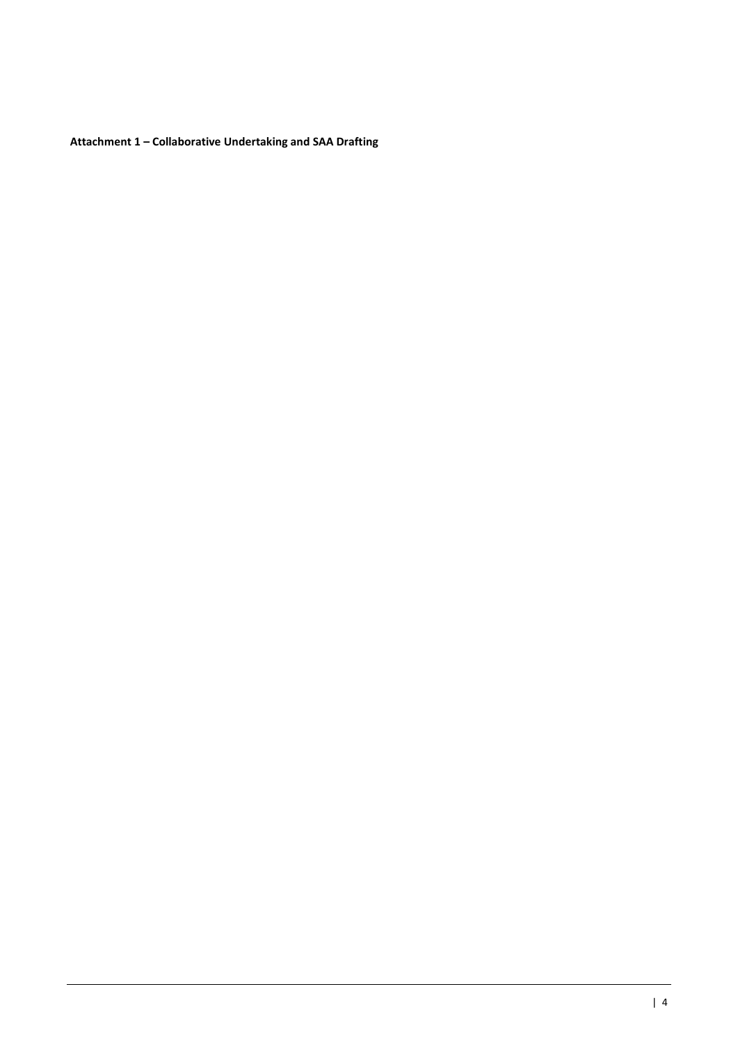**Attachment 1 – Collaborative Undertaking and SAA Drafting**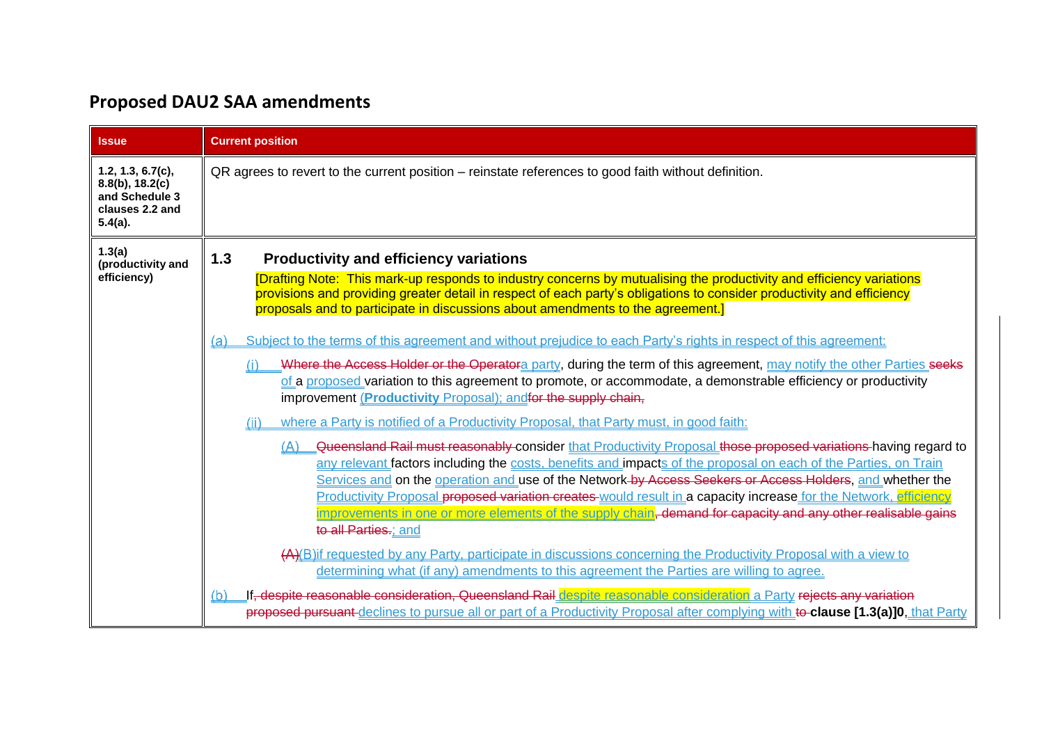# **Proposed DAU2 SAA amendments**

<span id="page-4-0"></span>

| <b>Issue</b>                                                                               | <b>Current position</b>                                                                                                                                                                                                                                                                                                                                                                                                                                                                                                                                                                                                                                                                                                                                                                                                                           |
|--------------------------------------------------------------------------------------------|---------------------------------------------------------------------------------------------------------------------------------------------------------------------------------------------------------------------------------------------------------------------------------------------------------------------------------------------------------------------------------------------------------------------------------------------------------------------------------------------------------------------------------------------------------------------------------------------------------------------------------------------------------------------------------------------------------------------------------------------------------------------------------------------------------------------------------------------------|
| 1.2, 1.3, 6.7(c),<br>$8.8(b)$ , 18.2(c)<br>and Schedule 3<br>clauses 2.2 and<br>$5.4(a)$ . | QR agrees to revert to the current position – reinstate references to good faith without definition.                                                                                                                                                                                                                                                                                                                                                                                                                                                                                                                                                                                                                                                                                                                                              |
| 1.3(a)<br>(productivity and<br>efficiency)                                                 | 1.3<br><b>Productivity and efficiency variations</b><br>[Drafting Note: This mark-up responds to industry concerns by mutualising the productivity and efficiency variations<br>provisions and providing greater detail in respect of each party's obligations to consider productivity and efficiency<br>proposals and to participate in discussions about amendments to the agreement.]                                                                                                                                                                                                                                                                                                                                                                                                                                                         |
|                                                                                            | Subject to the terms of this agreement and without prejudice to each Party's rights in respect of this agreement:<br>(a)<br>Where the Access Holder or the Operatora party, during the term of this agreement, may notify the other Parties seeks<br>of a proposed variation to this agreement to promote, or accommodate, a demonstrable efficiency or productivity<br>improvement (Productivity Proposal); and for the supply chain,                                                                                                                                                                                                                                                                                                                                                                                                            |
|                                                                                            | where a Party is notified of a Productivity Proposal, that Party must, in good faith:<br>(ii)<br>Queensland Rail must reasonably consider that Productivity Proposal those proposed variations having regard to<br>(A)<br>any relevant factors including the costs, benefits and impacts of the proposal on each of the Parties, on Train<br>Services and on the operation and use of the Network-by-Access Seekers or Access Holders, and whether the<br>Productivity Proposal proposed variation creates would result in a capacity increase for the Network, efficiency<br>improvements in one or more elements of the supply chain <del>,</del> demand for capacity and any other realisable gains<br>to all Parties.; and<br>(A)(B)if requested by any Party, participate in discussions concerning the Productivity Proposal with a view to |
|                                                                                            | determining what (if any) amendments to this agreement the Parties are willing to agree.<br>If, despite reasonable consideration, Queensland Rail despite reasonable consideration a Party rejects any variation<br>(b)<br>proposed pursuant declines to pursue all or part of a Productivity Proposal after complying with to clause [1.3(a)]0, that Party                                                                                                                                                                                                                                                                                                                                                                                                                                                                                       |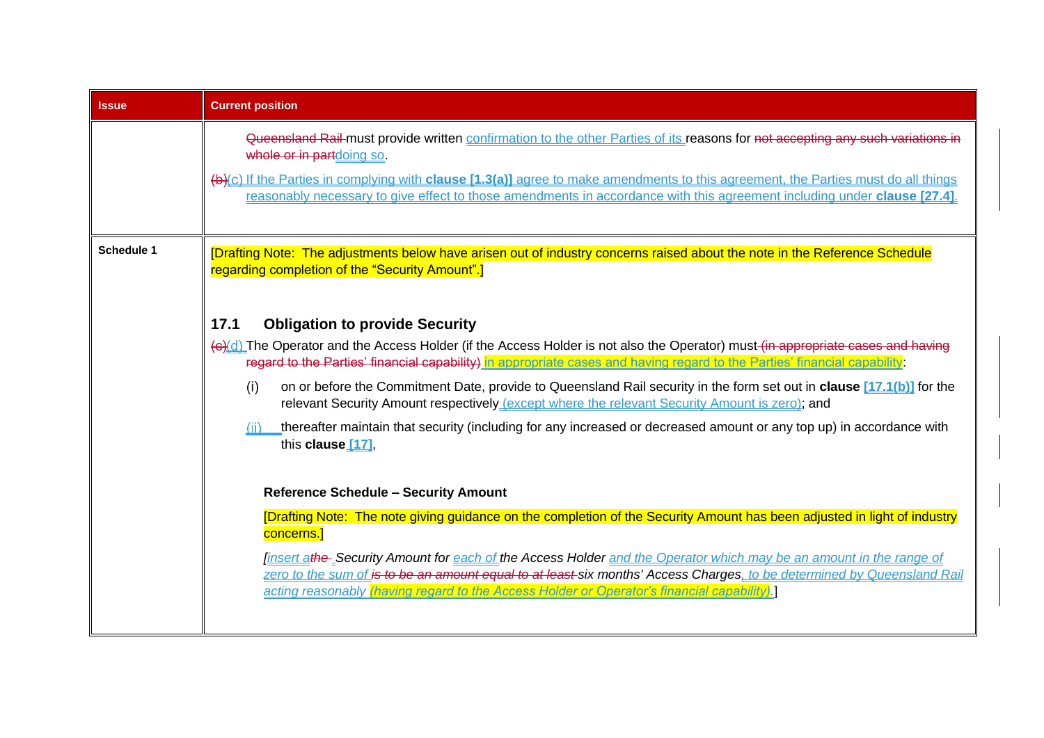| <b>Issue</b>      | <b>Current position</b>                                                                                                                                                                                                                                                                                                                                                                                                                                                                                                                                                                                                                                                 |
|-------------------|-------------------------------------------------------------------------------------------------------------------------------------------------------------------------------------------------------------------------------------------------------------------------------------------------------------------------------------------------------------------------------------------------------------------------------------------------------------------------------------------------------------------------------------------------------------------------------------------------------------------------------------------------------------------------|
|                   | Queensland Rail must provide written confirmation to the other Parties of its reasons for not accepting any such variations in<br>whole or in partdoing so.<br>(b)(c) If the Parties in complying with clause [1.3(a)] agree to make amendments to this agreement, the Parties must do all things<br>reasonably necessary to give effect to those amendments in accordance with this agreement including under clause [27.4].                                                                                                                                                                                                                                           |
| <b>Schedule 1</b> | [Drafting Note: The adjustments below have arisen out of industry concerns raised about the note in the Reference Schedule<br>regarding completion of the "Security Amount".]                                                                                                                                                                                                                                                                                                                                                                                                                                                                                           |
|                   | <b>Obligation to provide Security</b><br>17.1<br>(e)(d) The Operator and the Access Holder (if the Access Holder is not also the Operator) must (in appropriate cases and having<br>regard to the Parties' financial capability) in appropriate cases and having regard to the Parties' financial capability.<br>on or before the Commitment Date, provide to Queensland Rail security in the form set out in clause [17.1(b)] for the<br>(i)<br>relevant Security Amount respectively (except where the relevant Security Amount is zero); and<br>thereafter maintain that security (including for any increased or decreased amount or any top up) in accordance with |
|                   | this clause [17],<br><b>Reference Schedule - Security Amount</b><br>[Drafting Note: The note giving guidance on the completion of the Security Amount has been adjusted in light of industry<br>concerns.]<br><u>finsert athe</u> Security Amount for each of the Access Holder and the Operator which may be an amount in the range of<br>zero to the sum of is to be an amount equal to at least-six months' Access Charges, to be determined by Queensland Rail<br>acting reasonably (having regard to the Access Holder or Operator's financial capability).                                                                                                        |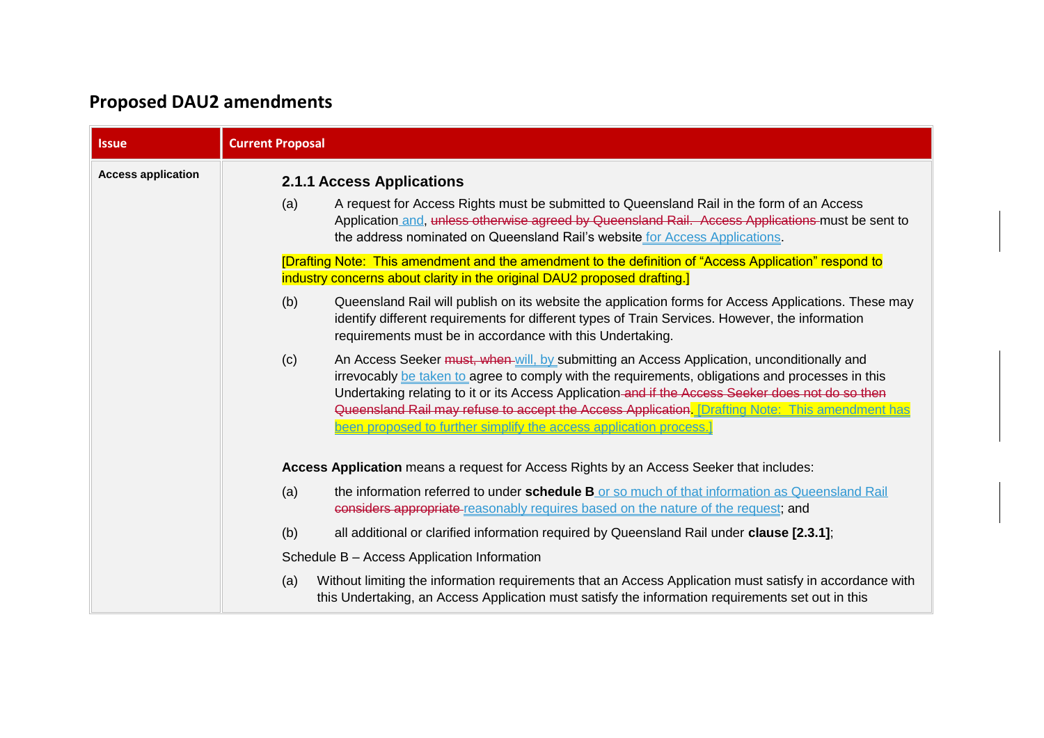# **Proposed DAU2 amendments**

| <b>Issue</b>              | <b>Current Proposal</b>                                                                                                                                                                                                                                                                                                                                                                                                                                                             |
|---------------------------|-------------------------------------------------------------------------------------------------------------------------------------------------------------------------------------------------------------------------------------------------------------------------------------------------------------------------------------------------------------------------------------------------------------------------------------------------------------------------------------|
| <b>Access application</b> | <b>2.1.1 Access Applications</b><br>A request for Access Rights must be submitted to Queensland Rail in the form of an Access<br>(a)<br>Application and, unless otherwise agreed by Queensland Rail. Access Applications must be sent to<br>the address nominated on Queensland Rail's website for Access Applications.                                                                                                                                                             |
|                           | [Drafting Note: This amendment and the amendment to the definition of "Access Application" respond to<br>industry concerns about clarity in the original DAU2 proposed drafting.]                                                                                                                                                                                                                                                                                                   |
|                           | (b)<br>Queensland Rail will publish on its website the application forms for Access Applications. These may<br>identify different requirements for different types of Train Services. However, the information<br>requirements must be in accordance with this Undertaking.                                                                                                                                                                                                         |
|                           | An Access Seeker must, when will, by submitting an Access Application, unconditionally and<br>(c)<br>irrevocably be taken to agree to comply with the requirements, obligations and processes in this<br>Undertaking relating to it or its Access Application-and if the Access Seeker does not do so then<br>Queensland Rail may refuse to accept the Access Application. [Drafting Note: This amendment has<br>been proposed to further simplify the access application process.] |
|                           | Access Application means a request for Access Rights by an Access Seeker that includes:                                                                                                                                                                                                                                                                                                                                                                                             |
|                           | the information referred to under schedule B or so much of that information as Queensland Rail<br>(a)<br>considers appropriate reasonably requires based on the nature of the request; and                                                                                                                                                                                                                                                                                          |
|                           | (b)<br>all additional or clarified information required by Queensland Rail under clause [2.3.1];                                                                                                                                                                                                                                                                                                                                                                                    |
|                           | Schedule B - Access Application Information                                                                                                                                                                                                                                                                                                                                                                                                                                         |
|                           | Without limiting the information requirements that an Access Application must satisfy in accordance with<br>(a)<br>this Undertaking, an Access Application must satisfy the information requirements set out in this                                                                                                                                                                                                                                                                |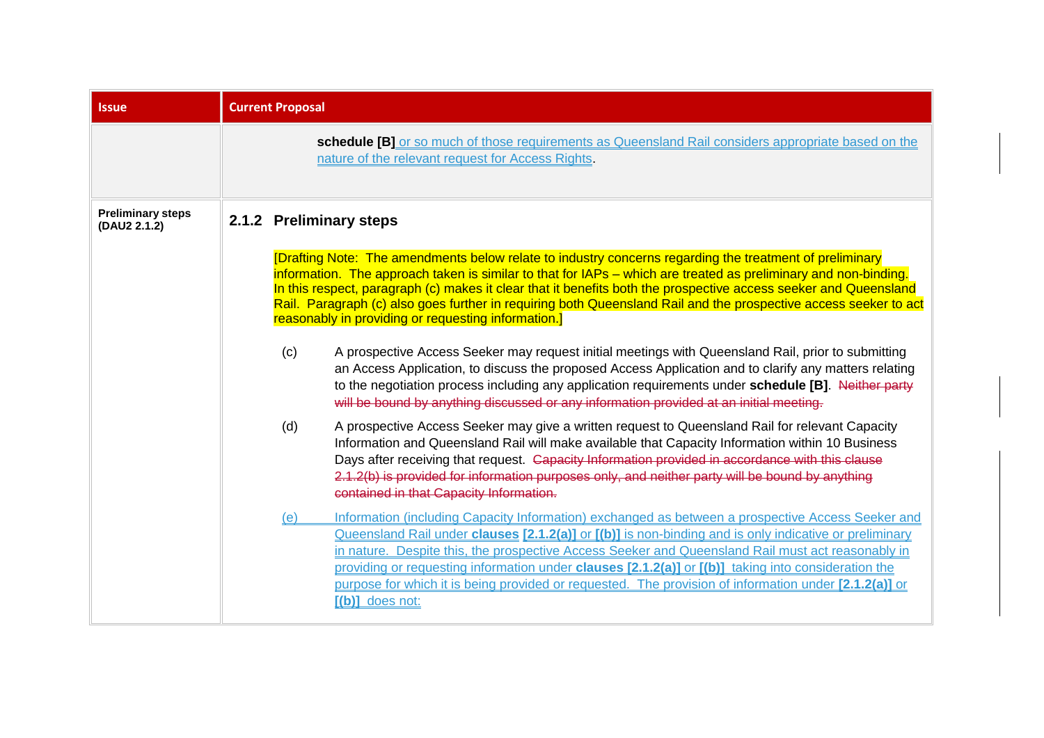<span id="page-8-0"></span>

| <b>Issue</b>                             | <b>Current Proposal</b> |                                                                                                                                                                                                                                                                                                                                                                                                                                                                                                                                                     |  |  |  |  |
|------------------------------------------|-------------------------|-----------------------------------------------------------------------------------------------------------------------------------------------------------------------------------------------------------------------------------------------------------------------------------------------------------------------------------------------------------------------------------------------------------------------------------------------------------------------------------------------------------------------------------------------------|--|--|--|--|
|                                          |                         | schedule [B] or so much of those requirements as Queensland Rail considers appropriate based on the<br>nature of the relevant request for Access Rights.                                                                                                                                                                                                                                                                                                                                                                                            |  |  |  |  |
| <b>Preliminary steps</b><br>(DAU2 2.1.2) |                         | 2.1.2 Preliminary steps<br>[Drafting Note: The amendments below relate to industry concerns regarding the treatment of preliminary                                                                                                                                                                                                                                                                                                                                                                                                                  |  |  |  |  |
|                                          |                         | information. The approach taken is similar to that for IAPs – which are treated as preliminary and non-binding.<br>In this respect, paragraph (c) makes it clear that it benefits both the prospective access seeker and Queensland<br>Rail. Paragraph (c) also goes further in requiring both Queensland Rail and the prospective access seeker to act<br>reasonably in providing or requesting information.]                                                                                                                                      |  |  |  |  |
|                                          | (c)                     | A prospective Access Seeker may request initial meetings with Queensland Rail, prior to submitting<br>an Access Application, to discuss the proposed Access Application and to clarify any matters relating<br>to the negotiation process including any application requirements under schedule [B]. Neither party<br>will be bound by anything discussed or any information provided at an initial meeting.                                                                                                                                        |  |  |  |  |
|                                          | (d)                     | A prospective Access Seeker may give a written request to Queensland Rail for relevant Capacity<br>Information and Queensland Rail will make available that Capacity Information within 10 Business<br>Days after receiving that request. Capacity Information provided in accordance with this clause<br>2.1.2(b) is provided for information purposes only, and neither party will be bound by anything<br>contained in that Capacity Information.                                                                                                |  |  |  |  |
|                                          | (e)                     | Information (including Capacity Information) exchanged as between a prospective Access Seeker and<br>Queensland Rail under clauses [2.1.2(a)] or [(b)] is non-binding and is only indicative or preliminary<br>in nature. Despite this, the prospective Access Seeker and Queensland Rail must act reasonably in<br>providing or requesting information under clauses [2.1.2(a)] or [(b)] taking into consideration the<br>purpose for which it is being provided or requested. The provision of information under [2.1.2(a)] or<br>[(b)] does not: |  |  |  |  |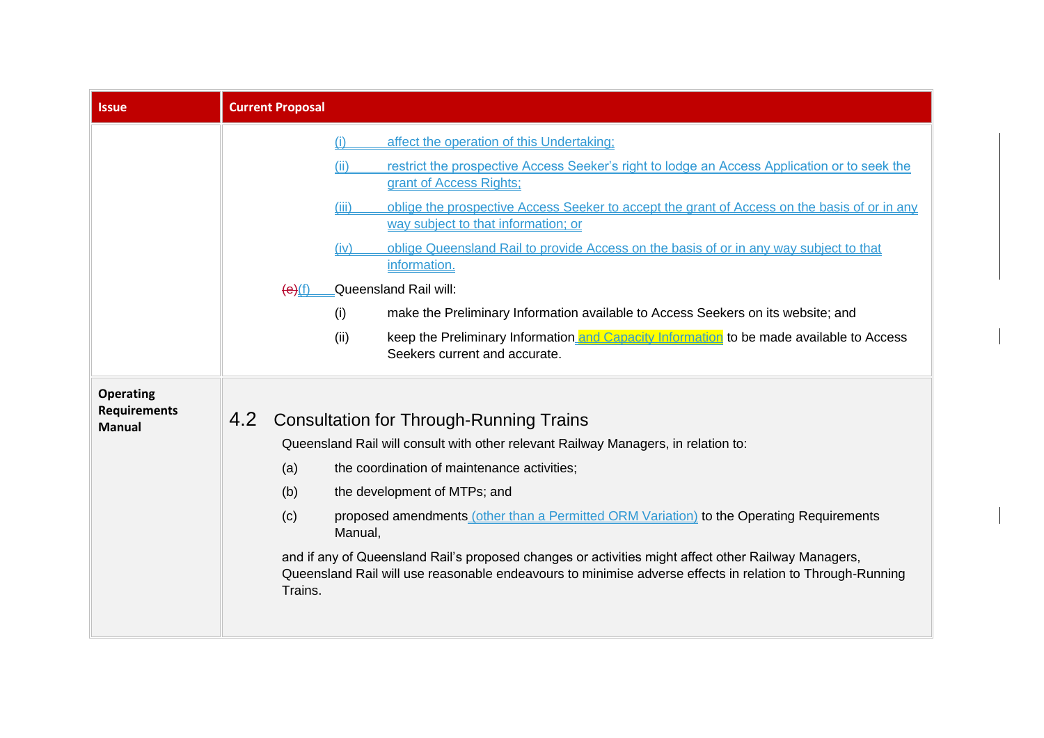<span id="page-9-0"></span>

| <b>Issue</b>                                             | <b>Current Proposal</b>                               |                                                                                                                                                                                                                                                                                                                                                                                                                                                                                                                                                                                                                                                                 |
|----------------------------------------------------------|-------------------------------------------------------|-----------------------------------------------------------------------------------------------------------------------------------------------------------------------------------------------------------------------------------------------------------------------------------------------------------------------------------------------------------------------------------------------------------------------------------------------------------------------------------------------------------------------------------------------------------------------------------------------------------------------------------------------------------------|
|                                                          | (i)<br>(ii)<br>(iii)<br>(iv)<br>(e)(f)<br>(i)<br>(ii) | affect the operation of this Undertaking;<br>restrict the prospective Access Seeker's right to lodge an Access Application or to seek the<br>grant of Access Rights;<br>oblige the prospective Access Seeker to accept the grant of Access on the basis of or in any<br>way subject to that information; or<br>oblige Queensland Rail to provide Access on the basis of or in any way subject to that<br>information.<br>Queensland Rail will:<br>make the Preliminary Information available to Access Seekers on its website; and<br>keep the Preliminary Information and Capacity Information to be made available to Access<br>Seekers current and accurate. |
| <b>Operating</b><br><b>Requirements</b><br><b>Manual</b> | 4.2<br>(a)<br>(b)<br>(c)<br>Manual,<br>Trains.        | <b>Consultation for Through-Running Trains</b><br>Queensland Rail will consult with other relevant Railway Managers, in relation to:<br>the coordination of maintenance activities;<br>the development of MTPs; and<br>proposed amendments (other than a Permitted ORM Variation) to the Operating Requirements<br>and if any of Queensland Rail's proposed changes or activities might affect other Railway Managers,<br>Queensland Rail will use reasonable endeavours to minimise adverse effects in relation to Through-Running                                                                                                                             |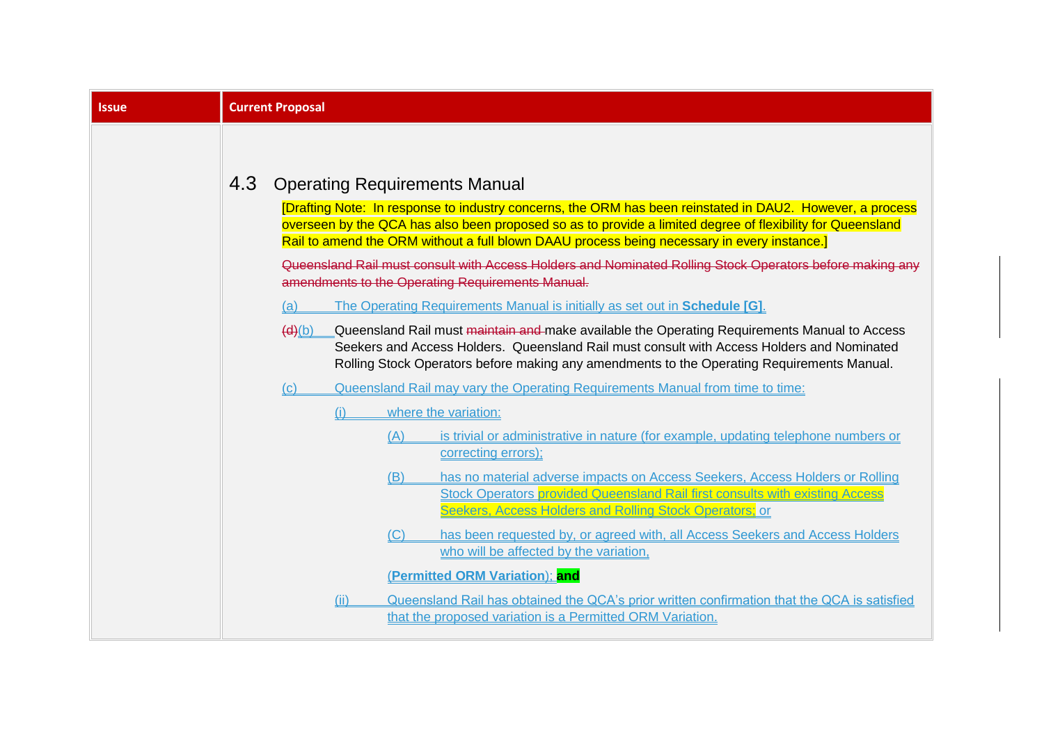| <b>Issue</b> |                                                                                                                                                                                                                                                                                                                                                                                                                                                                                                                                                                                                                                                                                                                                                                                                                                                                                                                                                                                                                                                                                                                                                                                 |  |  |  |
|--------------|---------------------------------------------------------------------------------------------------------------------------------------------------------------------------------------------------------------------------------------------------------------------------------------------------------------------------------------------------------------------------------------------------------------------------------------------------------------------------------------------------------------------------------------------------------------------------------------------------------------------------------------------------------------------------------------------------------------------------------------------------------------------------------------------------------------------------------------------------------------------------------------------------------------------------------------------------------------------------------------------------------------------------------------------------------------------------------------------------------------------------------------------------------------------------------|--|--|--|
|              | <b>Current Proposal</b><br>4.3<br><b>Operating Requirements Manual</b><br>[Drafting Note: In response to industry concerns, the ORM has been reinstated in DAU2. However, a process<br>overseen by the QCA has also been proposed so as to provide a limited degree of flexibility for Queensland<br>Rail to amend the ORM without a full blown DAAU process being necessary in every instance.]<br>Queensland Rail must consult with Access Holders and Nominated Rolling Stock Operators before making any<br>amendments to the Operating Requirements Manual.<br>The Operating Requirements Manual is initially as set out in Schedule [G].<br>(a)<br>(d)(b)<br>Queensland Rail must maintain and make available the Operating Requirements Manual to Access<br>Seekers and Access Holders. Queensland Rail must consult with Access Holders and Nominated<br>Rolling Stock Operators before making any amendments to the Operating Requirements Manual.<br>Queensland Rail may vary the Operating Requirements Manual from time to time:<br>(c)<br>where the variation:<br>(i)<br>is trivial or administrative in nature (for example, updating telephone numbers or<br>(A) |  |  |  |
|              | correcting errors);<br>has no material adverse impacts on Access Seekers, Access Holders or Rolling<br>(B)<br><b>Stock Operators provided Queensland Rail first consults with existing Access</b><br>Seekers, Access Holders and Rolling Stock Operators; or<br>has been requested by, or agreed with, all Access Seekers and Access Holders<br>(C)                                                                                                                                                                                                                                                                                                                                                                                                                                                                                                                                                                                                                                                                                                                                                                                                                             |  |  |  |
|              | who will be affected by the variation.<br>(Permitted ORM Variation): and<br>Queensland Rail has obtained the QCA's prior written confirmation that the QCA is satisfied<br>(ii)<br>that the proposed variation is a Permitted ORM Variation.                                                                                                                                                                                                                                                                                                                                                                                                                                                                                                                                                                                                                                                                                                                                                                                                                                                                                                                                    |  |  |  |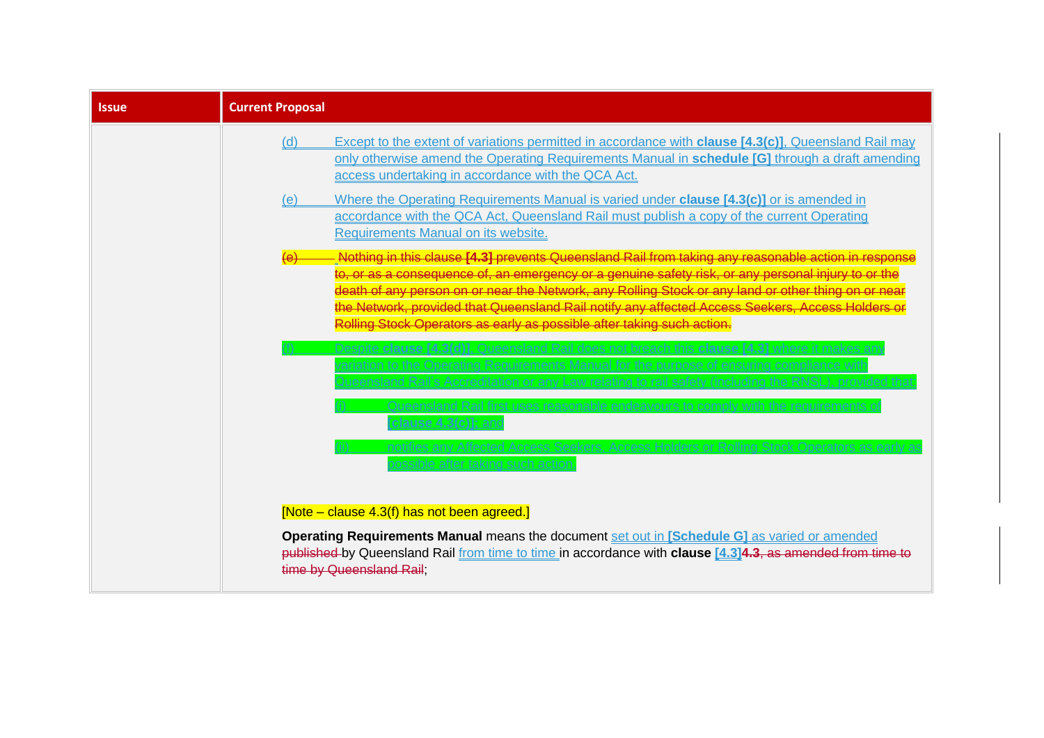| <b>Issue</b> | <b>Current Proposal</b>                                                                                                                                                                                                                                                                                                                                                                                                                                                    |
|--------------|----------------------------------------------------------------------------------------------------------------------------------------------------------------------------------------------------------------------------------------------------------------------------------------------------------------------------------------------------------------------------------------------------------------------------------------------------------------------------|
|              | Except to the extent of variations permitted in accordance with <b>clause [4.3(c)]</b> , Queensland Rail may<br>(d)<br>only otherwise amend the Operating Requirements Manual in schedule [G] through a draft amending<br>access undertaking in accordance with the QCA Act.                                                                                                                                                                                               |
|              | Where the Operating Requirements Manual is varied under <b>clause [4.3(c)]</b> or is amended in<br>(e)<br>accordance with the QCA Act, Queensland Rail must publish a copy of the current Operating<br>Requirements Manual on its website.                                                                                                                                                                                                                                 |
|              | <mark>Nothing in this clause [4.3] prevents Queensland Rail from taking any reasonable action in</mark><br>o, or as a consequence of, an emergency or a genuine safety risk, or any personal injury to or the:<br>of any person on or near the Network, any Rolling Stock or any land or other thing<br>the Network, provided that Queensland Rail notify any affected Access Seekers, Access He<br>Rolling Stock Operators as early as possible after taking such action. |
|              | <u>Rail's Accreditation or any Law relating to rail satety (including the</u><br>ensland Rail first uses reasonable endeavours to comply with the requirements                                                                                                                                                                                                                                                                                                             |
|              | clause 4.3(c)]: an<br>ies any Affected Access Seekers, Access Holders or Rolling Stock Operators as earl<br>after taking such actio                                                                                                                                                                                                                                                                                                                                        |
|              | [Note – clause 4.3(f) has not been agreed.]                                                                                                                                                                                                                                                                                                                                                                                                                                |
|              | Operating Requirements Manual means the document set out in [Schedule G] as varied or amended<br>published by Queensland Rail from time to time in accordance with clause [4.3]4.3, as amended from time to<br>time by Queensland Rail:                                                                                                                                                                                                                                    |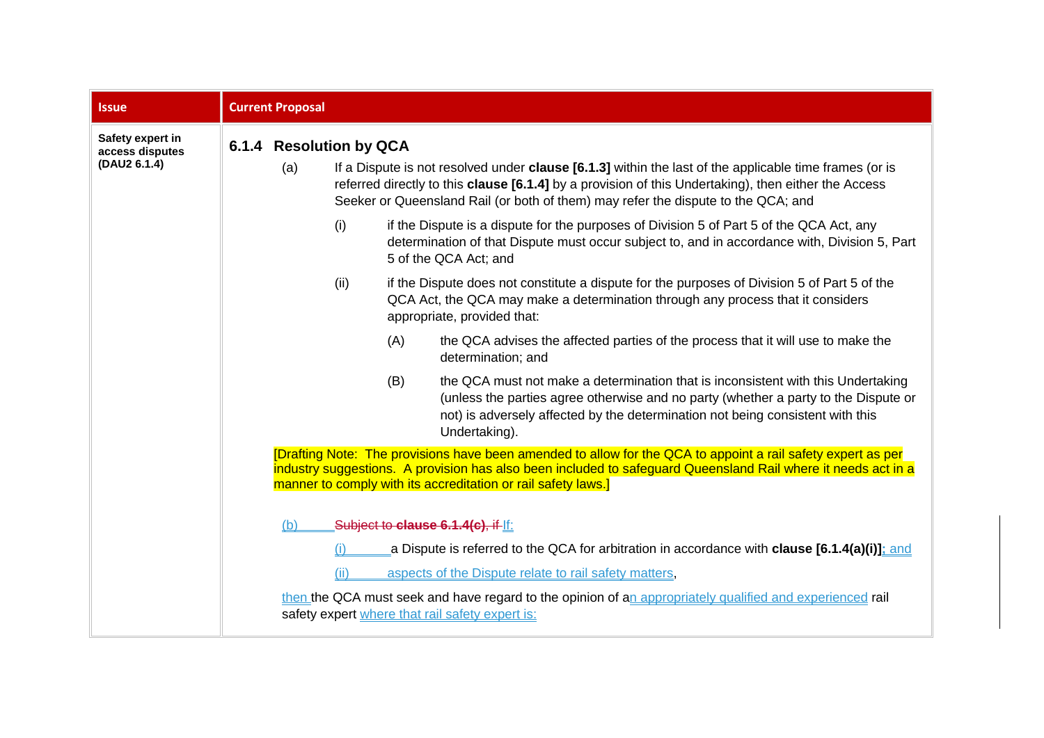| <b>Issue</b>                                        | <b>Current Proposal</b> |                                |      |     |                                                                                                                                                                                                                                                                                                            |
|-----------------------------------------------------|-------------------------|--------------------------------|------|-----|------------------------------------------------------------------------------------------------------------------------------------------------------------------------------------------------------------------------------------------------------------------------------------------------------------|
| Safety expert in<br>access disputes<br>(DAU2 6.1.4) |                         | 6.1.4 Resolution by QCA<br>(a) |      |     | If a Dispute is not resolved under <b>clause [6.1.3]</b> within the last of the applicable time frames (or is<br>referred directly to this clause [6.1.4] by a provision of this Undertaking), then either the Access<br>Seeker or Queensland Rail (or both of them) may refer the dispute to the QCA; and |
|                                                     |                         |                                | (i)  |     | if the Dispute is a dispute for the purposes of Division 5 of Part 5 of the QCA Act, any<br>determination of that Dispute must occur subject to, and in accordance with, Division 5, Part<br>5 of the QCA Act; and                                                                                         |
|                                                     |                         |                                | (ii) |     | if the Dispute does not constitute a dispute for the purposes of Division 5 of Part 5 of the<br>QCA Act, the QCA may make a determination through any process that it considers<br>appropriate, provided that:                                                                                             |
|                                                     |                         |                                |      | (A) | the QCA advises the affected parties of the process that it will use to make the<br>determination; and                                                                                                                                                                                                     |
|                                                     |                         |                                |      | (B) | the QCA must not make a determination that is inconsistent with this Undertaking<br>(unless the parties agree otherwise and no party (whether a party to the Dispute or<br>not) is adversely affected by the determination not being consistent with this<br>Undertaking).                                 |
|                                                     |                         |                                |      |     | [Drafting Note: The provisions have been amended to allow for the QCA to appoint a rail safety expert as per<br>industry suggestions. A provision has also been included to safeguard Queensland Rail where it needs act in a<br>manner to comply with its accreditation or rail safety laws.]             |
|                                                     |                         | (b)                            |      |     | Subject to clause 6.1.4(c), if If:                                                                                                                                                                                                                                                                         |
|                                                     |                         |                                |      |     | a Dispute is referred to the QCA for arbitration in accordance with <b>clause [6.1.4(a)(i)]</b> ; and                                                                                                                                                                                                      |
|                                                     |                         |                                | (ii) |     | aspects of the Dispute relate to rail safety matters,                                                                                                                                                                                                                                                      |
|                                                     |                         |                                |      |     | then the QCA must seek and have regard to the opinion of an appropriately qualified and experienced rail<br>safety expert where that rail safety expert is:                                                                                                                                                |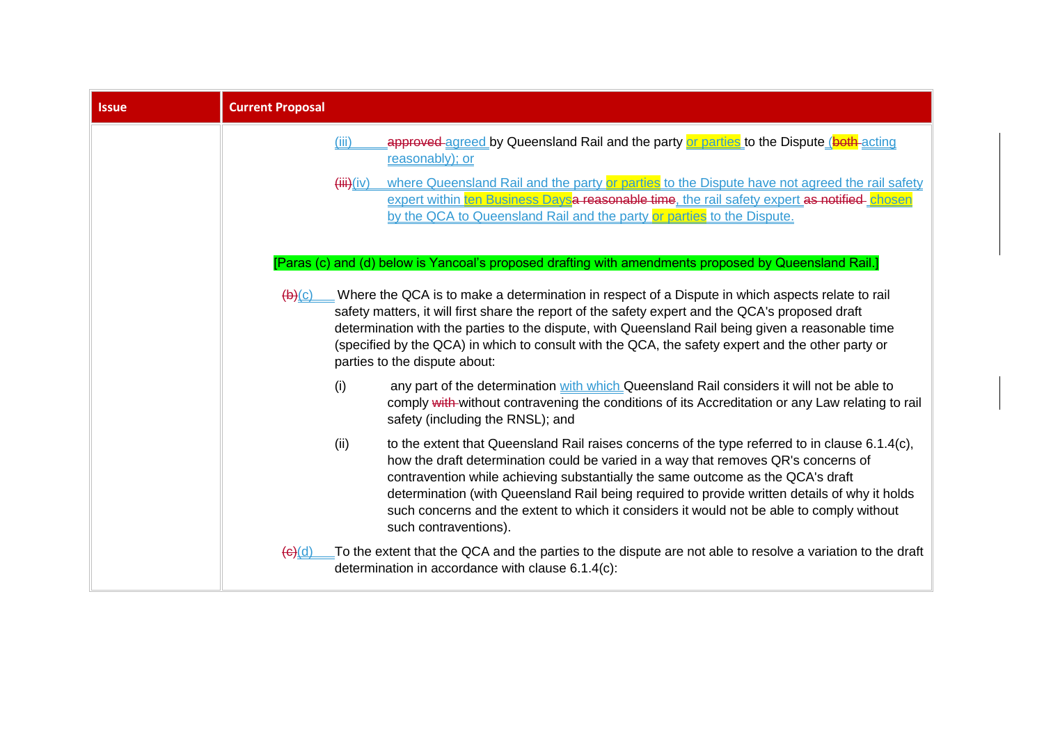| <b>Issue</b> | <b>Current Proposal</b>                                                                                                                                                                                                                                                                                                                                                                                                                                                                                |
|--------------|--------------------------------------------------------------------------------------------------------------------------------------------------------------------------------------------------------------------------------------------------------------------------------------------------------------------------------------------------------------------------------------------------------------------------------------------------------------------------------------------------------|
|              | approved agreed by Queensland Rail and the party or parties to the Dispute (both acting<br>(iii)<br>reasonably); or                                                                                                                                                                                                                                                                                                                                                                                    |
|              | where Queensland Rail and the party or parties to the Dispute have not agreed the rail safety<br>(iii)(iv)<br>expert within ten Business Daysa reasonable time, the rail safety expert as notified-chosen<br>by the QCA to Queensland Rail and the party or parties to the Dispute.                                                                                                                                                                                                                    |
|              | [Paras (c) and (d) below is Yancoal's proposed drafting with amendments proposed by Queensland Rail.]                                                                                                                                                                                                                                                                                                                                                                                                  |
|              | Where the QCA is to make a determination in respect of a Dispute in which aspects relate to rail<br>$\left(\mathsf{b}\right)(\mathsf{c})$<br>safety matters, it will first share the report of the safety expert and the QCA's proposed draft<br>determination with the parties to the dispute, with Queensland Rail being given a reasonable time<br>(specified by the QCA) in which to consult with the QCA, the safety expert and the other party or<br>parties to the dispute about:               |
|              | any part of the determination with which Queensland Rail considers it will not be able to<br>(i)<br>comply with-without contravening the conditions of its Accreditation or any Law relating to rail<br>safety (including the RNSL); and                                                                                                                                                                                                                                                               |
|              | to the extent that Queensland Rail raises concerns of the type referred to in clause 6.1.4(c),<br>(ii)<br>how the draft determination could be varied in a way that removes QR's concerns of<br>contravention while achieving substantially the same outcome as the QCA's draft<br>determination (with Queensland Rail being required to provide written details of why it holds<br>such concerns and the extent to which it considers it would not be able to comply without<br>such contraventions). |
|              | To the extent that the QCA and the parties to the dispute are not able to resolve a variation to the draft<br>$\Theta(d)$<br>determination in accordance with clause 6.1.4(c):                                                                                                                                                                                                                                                                                                                         |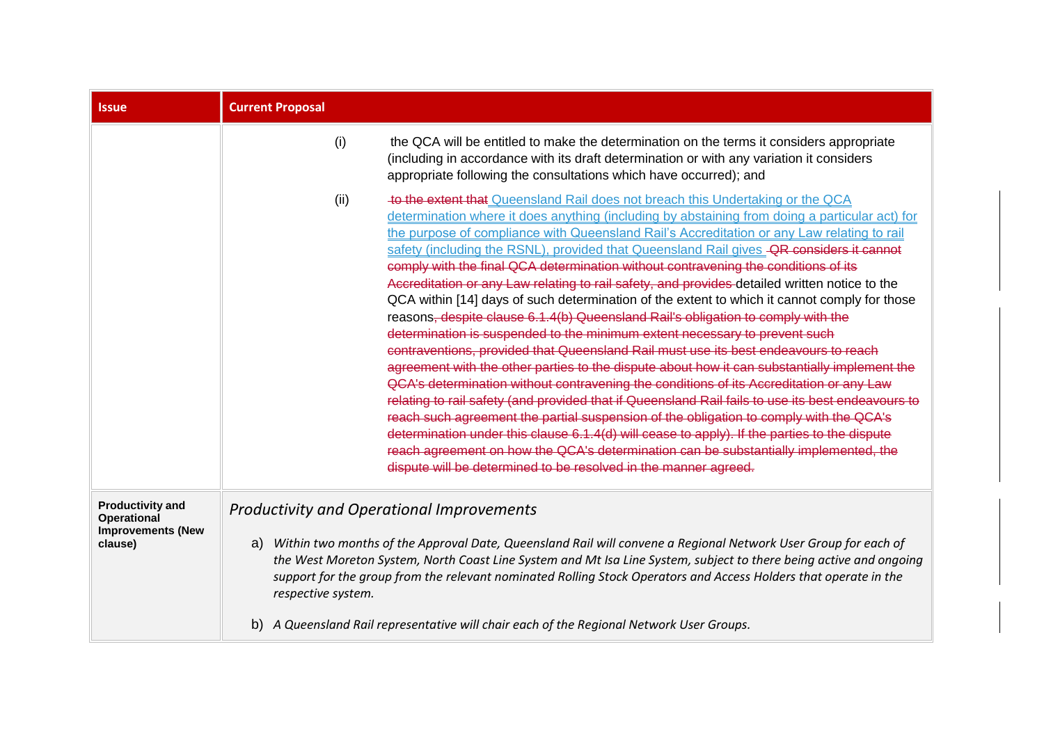| <b>Issue</b>                                                                         | <b>Current Proposal</b>                                                                                                                                                                                                                                                                                                                                                                                                                                                                                                                                                                                                                                                                                                                                                                                                                                                                                                                                                                                                                                                                                                                                                                                                                                                                                                                                                                                                                                                                                                                                                                              |
|--------------------------------------------------------------------------------------|------------------------------------------------------------------------------------------------------------------------------------------------------------------------------------------------------------------------------------------------------------------------------------------------------------------------------------------------------------------------------------------------------------------------------------------------------------------------------------------------------------------------------------------------------------------------------------------------------------------------------------------------------------------------------------------------------------------------------------------------------------------------------------------------------------------------------------------------------------------------------------------------------------------------------------------------------------------------------------------------------------------------------------------------------------------------------------------------------------------------------------------------------------------------------------------------------------------------------------------------------------------------------------------------------------------------------------------------------------------------------------------------------------------------------------------------------------------------------------------------------------------------------------------------------------------------------------------------------|
|                                                                                      | (i)<br>the QCA will be entitled to make the determination on the terms it considers appropriate<br>(including in accordance with its draft determination or with any variation it considers<br>appropriate following the consultations which have occurred); and                                                                                                                                                                                                                                                                                                                                                                                                                                                                                                                                                                                                                                                                                                                                                                                                                                                                                                                                                                                                                                                                                                                                                                                                                                                                                                                                     |
|                                                                                      | to the extent that Queensland Rail does not breach this Undertaking or the QCA<br>(ii)<br>determination where it does anything (including by abstaining from doing a particular act) for<br>the purpose of compliance with Queensland Rail's Accreditation or any Law relating to rail<br>safety (including the RSNL), provided that Queensland Rail gives - QR considers it cannot<br>comply with the final QCA determination without contravening the conditions of its<br>Accreditation or any Law relating to rail safety, and provides detailed written notice to the<br>QCA within [14] days of such determination of the extent to which it cannot comply for those<br>reasons <del>, despite clause 6.1.4(b) Queensland Rail's obligation to comply with the</del><br>determination is suspended to the minimum extent necessary to prevent such<br>contraventions, provided that Queensland Rail must use its best endeavours to reach<br>agreement with the other parties to the dispute about how it can substantially implement the<br>QCA's determination without contravening the conditions of its Accreditation or any Law<br>relating to rail safety (and provided that if Queensland Rail fails to use its best endeavours to<br>reach such agreement the partial suspension of the obligation to comply with the QCA's<br>determination under this clause 6.1.4(d) will cease to apply). If the parties to the dispute<br>reach agreement on how the QCA's determination can be substantially implemented, the<br>dispute will be determined to be resolved in the manner agreed. |
| <b>Productivity and</b><br><b>Operational</b><br><b>Improvements (New</b><br>clause) | <b>Productivity and Operational Improvements</b><br>Within two months of the Approval Date, Queensland Rail will convene a Regional Network User Group for each of<br>a)<br>the West Moreton System, North Coast Line System and Mt Isa Line System, subject to there being active and ongoing<br>support for the group from the relevant nominated Rolling Stock Operators and Access Holders that operate in the<br>respective system.                                                                                                                                                                                                                                                                                                                                                                                                                                                                                                                                                                                                                                                                                                                                                                                                                                                                                                                                                                                                                                                                                                                                                             |
|                                                                                      | b) A Queensland Rail representative will chair each of the Regional Network User Groups.                                                                                                                                                                                                                                                                                                                                                                                                                                                                                                                                                                                                                                                                                                                                                                                                                                                                                                                                                                                                                                                                                                                                                                                                                                                                                                                                                                                                                                                                                                             |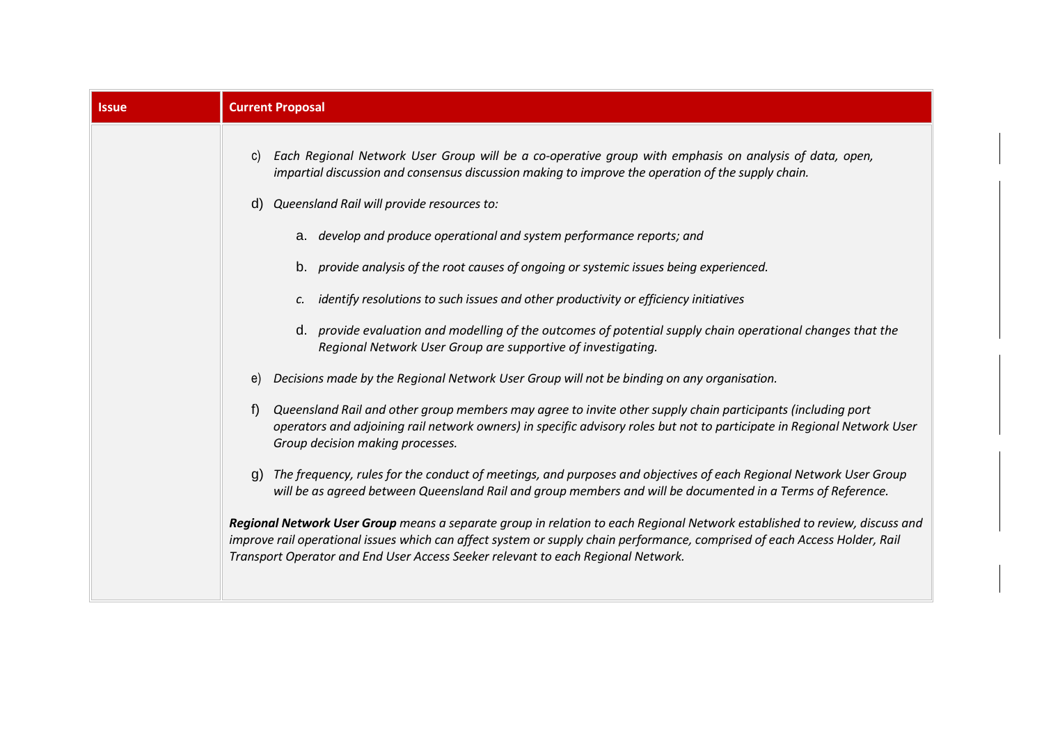| <b>Current Proposal</b>                                                                                                                                                                                                                                                                                                                                                                                                                                                                                                                                                                                                                                                                                                                                                                                                                                                                                                                                                                                                                                                                                                                                                                                                                                                                                                                                                                                                                                                                                                                                                                                                                                               |
|-----------------------------------------------------------------------------------------------------------------------------------------------------------------------------------------------------------------------------------------------------------------------------------------------------------------------------------------------------------------------------------------------------------------------------------------------------------------------------------------------------------------------------------------------------------------------------------------------------------------------------------------------------------------------------------------------------------------------------------------------------------------------------------------------------------------------------------------------------------------------------------------------------------------------------------------------------------------------------------------------------------------------------------------------------------------------------------------------------------------------------------------------------------------------------------------------------------------------------------------------------------------------------------------------------------------------------------------------------------------------------------------------------------------------------------------------------------------------------------------------------------------------------------------------------------------------------------------------------------------------------------------------------------------------|
| Each Regional Network User Group will be a co-operative group with emphasis on analysis of data, open,<br>impartial discussion and consensus discussion making to improve the operation of the supply chain.<br>Queensland Rail will provide resources to:<br>a. develop and produce operational and system performance reports; and<br>b. provide analysis of the root causes of ongoing or systemic issues being experienced.<br>identify resolutions to such issues and other productivity or efficiency initiatives<br>d. provide evaluation and modelling of the outcomes of potential supply chain operational changes that the<br>Regional Network User Group are supportive of investigating.<br>Decisions made by the Regional Network User Group will not be binding on any organisation.<br>Queensland Rail and other group members may agree to invite other supply chain participants (including port<br>operators and adjoining rail network owners) in specific advisory roles but not to participate in Regional Network User<br>Group decision making processes.<br>The frequency, rules for the conduct of meetings, and purposes and objectives of each Regional Network User Group<br>will be as agreed between Queensland Rail and group members and will be documented in a Terms of Reference.<br>Regional Network User Group means a separate group in relation to each Regional Network established to review, discuss and<br>improve rail operational issues which can affect system or supply chain performance, comprised of each Access Holder, Rail<br>Transport Operator and End User Access Seeker relevant to each Regional Network. |
|                                                                                                                                                                                                                                                                                                                                                                                                                                                                                                                                                                                                                                                                                                                                                                                                                                                                                                                                                                                                                                                                                                                                                                                                                                                                                                                                                                                                                                                                                                                                                                                                                                                                       |